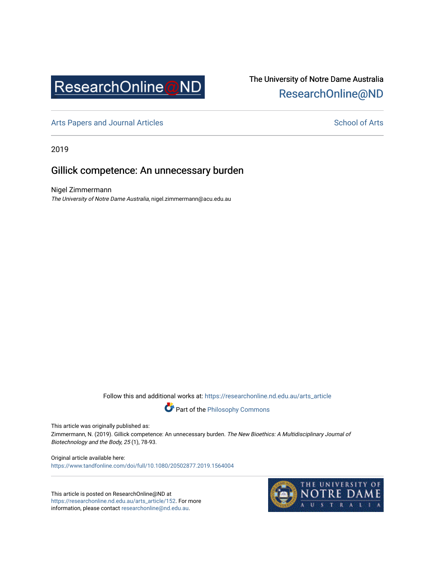

## The University of Notre Dame Australia [ResearchOnline@ND](https://researchonline.nd.edu.au/)

[Arts Papers and Journal Articles](https://researchonline.nd.edu.au/arts_article) and [School of Arts](https://researchonline.nd.edu.au/arts) School of Arts

2019

## Gillick competence: An unnecessary burden

Nigel Zimmermann The University of Notre Dame Australia, nigel.zimmermann@acu.edu.au

Follow this and additional works at: [https://researchonline.nd.edu.au/arts\\_article](https://researchonline.nd.edu.au/arts_article?utm_source=researchonline.nd.edu.au%2Farts_article%2F152&utm_medium=PDF&utm_campaign=PDFCoverPages) 



This article was originally published as:

Zimmermann, N. (2019). Gillick competence: An unnecessary burden. The New Bioethics: A Multidisciplinary Journal of Biotechnology and the Body, 25 (1), 78-93.

Original article available here: <https://www.tandfonline.com/doi/full/10.1080/20502877.2019.1564004>

This article is posted on ResearchOnline@ND at [https://researchonline.nd.edu.au/arts\\_article/152](https://researchonline.nd.edu.au/arts_article/152). For more information, please contact [researchonline@nd.edu.au.](mailto:researchonline@nd.edu.au)

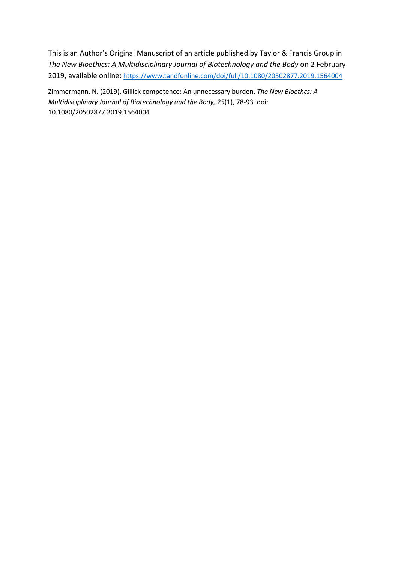This is an Author's Original Manuscript of an article published by Taylor & Francis Group in *The New Bioethics: A Multidisciplinary Journal of Biotechnology and the Body* on 2 February 2019**,** available online**:** <https://www.tandfonline.com/doi/full/10.1080/20502877.2019.1564004>

Zimmermann, N. (2019). Gillick competence: An unnecessary burden. *The New Bioethcs: A Multidisciplinary Journal of Biotechnology and the Body, 25*(1), 78-93. doi: 10.1080/20502877.2019.1564004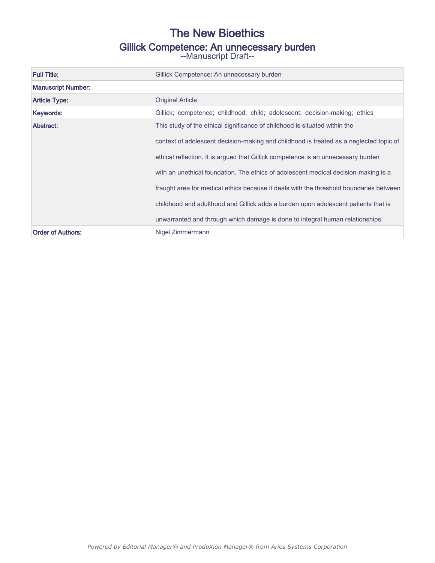# The New Bioethics Gillick Competence: An unnecessary burden<br>--Manuscript Draft--

| <b>Full Title:</b>        | Gillick Competence: An unnecessary burden                                              |
|---------------------------|----------------------------------------------------------------------------------------|
| <b>Manuscript Number:</b> |                                                                                        |
| <b>Article Type:</b>      | <b>Original Article</b>                                                                |
| Keywords:                 | Gillick; competence; childhood; child; adolescent; decision-making; ethics             |
| Abstract:                 | This study of the ethical significance of childhood is situated within the             |
|                           | context of adolescent decision-making and childhood is treated as a neglected topic of |
|                           | ethical reflection. It is argued that Gillick competence is an unnecessary burden      |
|                           | with an unethical foundation. The ethics of adolescent medical decision-making is a    |
|                           | fraught area for medical ethics because it deals with the threshold boundaries between |
|                           | childhood and adulthood and Gillick adds a burden upon adolescent patients that is     |
|                           | unwarranted and through which damage is done to integral human relationships.          |
| <b>Order of Authors:</b>  | Nigel Zimmermann                                                                       |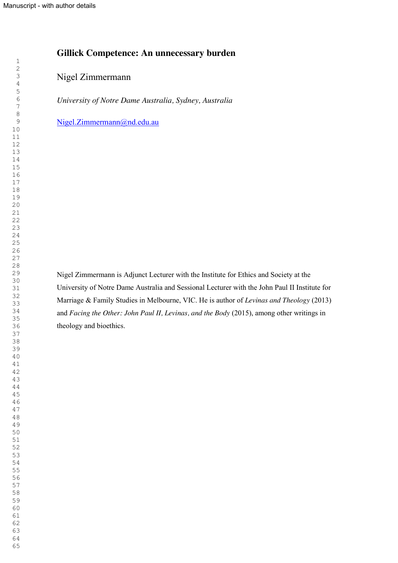## **Gillick Competence: An unnecessary burden**

## Nigel Zimmermann

*University of Notre Dame Australia, Sydney, Australia* 

[Nigel.Zimmermann@nd.edu.au](mailto:Nigel.Zimmermann@nd.edu.au)

Nigel Zimmermann is Adjunct Lecturer with the Institute for Ethics and Society at the University of Notre Dame Australia and Sessional Lecturer with the John Paul II Institute for Marriage & Family Studies in Melbourne, VIC. He is author of *Levinas and Theology* (2013) and *Facing the Other: John Paul II, Levinas, and the Body* (2015), among other writings in theology and bioethics.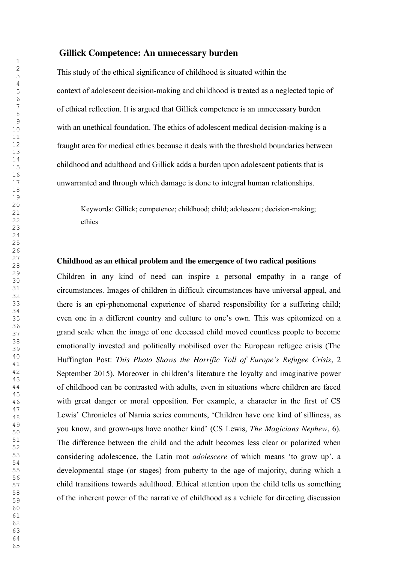#### **Gillick Competence: An unnecessary burden**

This study of the ethical significance of childhood is situated within the context of adolescent decision-making and childhood is treated as a neglected topic of of ethical reflection. It is argued that Gillick competence is an unnecessary burden with an unethical foundation. The ethics of adolescent medical decision-making is a fraught area for medical ethics because it deals with the threshold boundaries between childhood and adulthood and Gillick adds a burden upon adolescent patients that is unwarranted and through which damage is done to integral human relationships.

Keywords: Gillick; competence; childhood; child; adolescent; decision-making; ethics

#### **Childhood as an ethical problem and the emergence of two radical positions**

Children in any kind of need can inspire a personal empathy in a range of circumstances. Images of children in difficult circumstances have universal appeal, and there is an epi-phenomenal experience of shared responsibility for a suffering child; even one in a different country and culture to one's own. This was epitomized on a grand scale when the image of one deceased child moved countless people to become emotionally invested and politically mobilised over the European refugee crisis (The Huffington Post: *This Photo Shows the Horrific Toll of Europe's Refugee Crisis*, 2 September 2015). Moreover in children's literature the loyalty and imaginative power of childhood can be contrasted with adults, even in situations where children are faced with great danger or moral opposition. For example, a character in the first of CS Lewis' Chronicles of Narnia series comments, 'Children have one kind of silliness, as you know, and grown-ups have another kind' (CS Lewis, *The Magicians Nephew*, 6). The difference between the child and the adult becomes less clear or polarized when considering adolescence, the Latin root *adolescere* of which means 'to grow up', a developmental stage (or stages) from puberty to the age of majority, during which a child transitions towards adulthood. Ethical attention upon the child tells us something of the inherent power of the narrative of childhood as a vehicle for directing discussion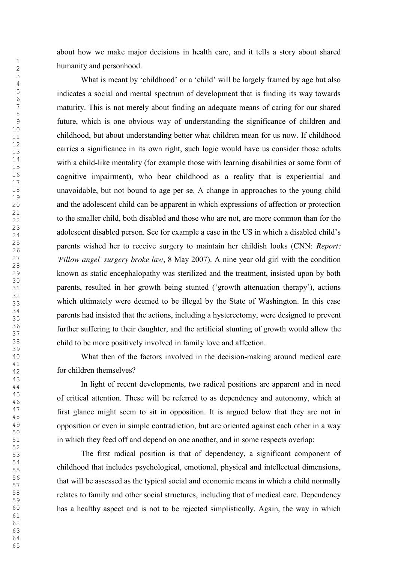about how we make major decisions in health care, and it tells a story about shared humanity and personhood.

What is meant by 'childhood' or a 'child' will be largely framed by age but also indicates a social and mental spectrum of development that is finding its way towards maturity. This is not merely about finding an adequate means of caring for our shared future, which is one obvious way of understanding the significance of children and childhood, but about understanding better what children mean for us now. If childhood carries a significance in its own right, such logic would have us consider those adults with a child-like mentality (for example those with learning disabilities or some form of cognitive impairment), who bear childhood as a reality that is experiential and unavoidable, but not bound to age per se. A change in approaches to the young child and the adolescent child can be apparent in which expressions of affection or protection to the smaller child, both disabled and those who are not, are more common than for the adolescent disabled person. See for example a case in the US in which a disabled child's parents wished her to receive surgery to maintain her childish looks (CNN: *Report: 'Pillow angel' surgery broke law*, 8 May 2007). A nine year old girl with the condition known as static encephalopathy was sterilized and the treatment, insisted upon by both parents, resulted in her growth being stunted ('growth attenuation therapy'), actions which ultimately were deemed to be illegal by the State of Washington. In this case parents had insisted that the actions, including a hysterectomy, were designed to prevent further suffering to their daughter, and the artificial stunting of growth would allow the child to be more positively involved in family love and affection.

What then of the factors involved in the decision-making around medical care for children themselves?

In light of recent developments, two radical positions are apparent and in need of critical attention. These will be referred to as dependency and autonomy, which at first glance might seem to sit in opposition. It is argued below that they are not in opposition or even in simple contradiction, but are oriented against each other in a way in which they feed off and depend on one another, and in some respects overlap:

The first radical position is that of dependency, a significant component of childhood that includes psychological, emotional, physical and intellectual dimensions, that will be assessed as the typical social and economic means in which a child normally relates to family and other social structures, including that of medical care. Dependency has a healthy aspect and is not to be rejected simplistically. Again, the way in which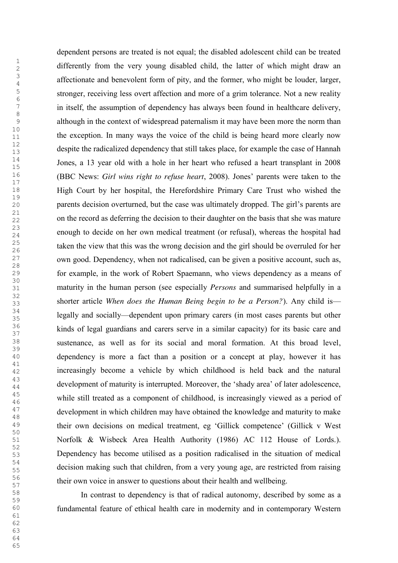dependent persons are treated is not equal; the disabled adolescent child can be treated differently from the very young disabled child, the latter of which might draw an affectionate and benevolent form of pity, and the former, who might be louder, larger, stronger, receiving less overt affection and more of a grim tolerance. Not a new reality in itself, the assumption of dependency has always been found in healthcare delivery, although in the context of widespread paternalism it may have been more the norm than the exception. In many ways the voice of the child is being heard more clearly now despite the radicalized dependency that still takes place, for example the case of Hannah Jones, a 13 year old with a hole in her heart who refused a heart transplant in 2008 (BBC News: *Girl wins right to refuse heart*, 2008). Jones' parents were taken to the High Court by her hospital, the Herefordshire Primary Care Trust who wished the parents decision overturned, but the case was ultimately dropped. The girl's parents are on the record as deferring the decision to their daughter on the basis that she was mature enough to decide on her own medical treatment (or refusal), whereas the hospital had taken the view that this was the wrong decision and the girl should be overruled for her own good. Dependency, when not radicalised, can be given a positive account, such as, for example, in the work of Robert Spaemann, who views dependency as a means of maturity in the human person (see especially *Persons* and summarised helpfully in a shorter article *When does the Human Being begin to be a Person?*). Any child is legally and socially—dependent upon primary carers (in most cases parents but other kinds of legal guardians and carers serve in a similar capacity) for its basic care and sustenance, as well as for its social and moral formation. At this broad level, dependency is more a fact than a position or a concept at play, however it has increasingly become a vehicle by which childhood is held back and the natural development of maturity is interrupted. Moreover, the 'shady area' of later adolescence, while still treated as a component of childhood, is increasingly viewed as a period of development in which children may have obtained the knowledge and maturity to make their own decisions on medical treatment, eg 'Gillick competence' (Gillick v West Norfolk & Wisbeck Area Health Authority (1986) AC 112 House of Lords.). Dependency has become utilised as a position radicalised in the situation of medical decision making such that children, from a very young age, are restricted from raising their own voice in answer to questions about their health and wellbeing.

In contrast to dependency is that of radical autonomy, described by some as a fundamental feature of ethical health care in modernity and in contemporary Western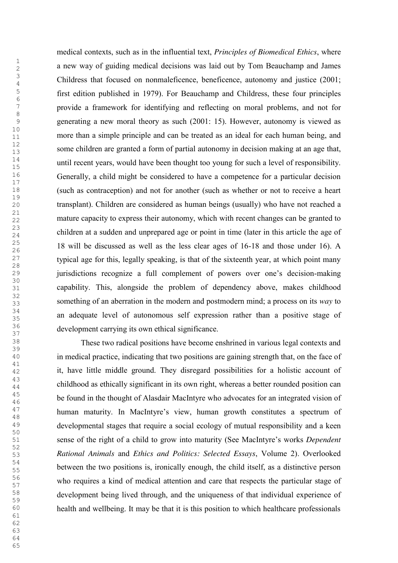medical contexts, such as in the influential text, *Principles of Biomedical Ethics*, where a new way of guiding medical decisions was laid out by Tom Beauchamp and James Childress that focused on nonmaleficence, beneficence, autonomy and justice (2001; first edition published in 1979). For Beauchamp and Childress, these four principles provide a framework for identifying and reflecting on moral problems, and not for generating a new moral theory as such (2001: 15). However, autonomy is viewed as more than a simple principle and can be treated as an ideal for each human being, and some children are granted a form of partial autonomy in decision making at an age that, until recent years, would have been thought too young for such a level of responsibility. Generally, a child might be considered to have a competence for a particular decision (such as contraception) and not for another (such as whether or not to receive a heart transplant). Children are considered as human beings (usually) who have not reached a mature capacity to express their autonomy, which with recent changes can be granted to children at a sudden and unprepared age or point in time (later in this article the age of 18 will be discussed as well as the less clear ages of 16-18 and those under 16). A typical age for this, legally speaking, is that of the sixteenth year, at which point many jurisdictions recognize a full complement of powers over one's decision-making capability. This, alongside the problem of dependency above, makes childhood something of an aberration in the modern and postmodern mind; a process on its *way* to an adequate level of autonomous self expression rather than a positive stage of development carrying its own ethical significance.

These two radical positions have become enshrined in various legal contexts and in medical practice, indicating that two positions are gaining strength that, on the face of it, have little middle ground. They disregard possibilities for a holistic account of childhood as ethically significant in its own right, whereas a better rounded position can be found in the thought of Alasdair MacIntyre who advocates for an integrated vision of human maturity. In MacIntyre's view, human growth constitutes a spectrum of developmental stages that require a social ecology of mutual responsibility and a keen sense of the right of a child to grow into maturity (See MacIntyre's works *Dependent Rational Animals* and *Ethics and Politics: Selected Essays*, Volume 2). Overlooked between the two positions is, ironically enough, the child itself, as a distinctive person who requires a kind of medical attention and care that respects the particular stage of development being lived through, and the uniqueness of that individual experience of health and wellbeing. It may be that it is this position to which healthcare professionals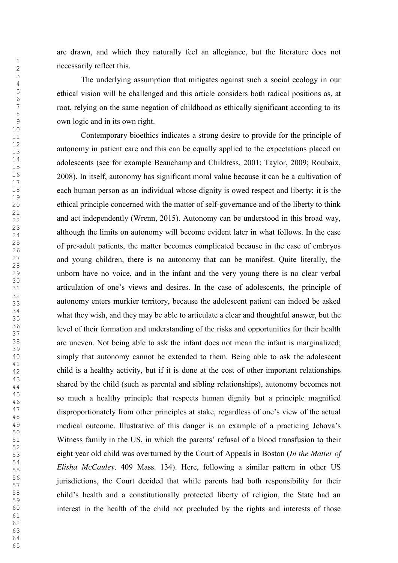are drawn, and which they naturally feel an allegiance, but the literature does not necessarily reflect this.

The underlying assumption that mitigates against such a social ecology in our ethical vision will be challenged and this article considers both radical positions as, at root, relying on the same negation of childhood as ethically significant according to its own logic and in its own right.

Contemporary bioethics indicates a strong desire to provide for the principle of autonomy in patient care and this can be equally applied to the expectations placed on adolescents (see for example Beauchamp and Childress, 2001; Taylor, 2009; Roubaix, 2008). In itself, autonomy has significant moral value because it can be a cultivation of each human person as an individual whose dignity is owed respect and liberty; it is the ethical principle concerned with the matter of self-governance and of the liberty to think and act independently (Wrenn, 2015). Autonomy can be understood in this broad way, although the limits on autonomy will become evident later in what follows. In the case of pre-adult patients, the matter becomes complicated because in the case of embryos and young children, there is no autonomy that can be manifest. Quite literally, the unborn have no voice, and in the infant and the very young there is no clear verbal articulation of one's views and desires. In the case of adolescents, the principle of autonomy enters murkier territory, because the adolescent patient can indeed be asked what they wish, and they may be able to articulate a clear and thoughtful answer, but the level of their formation and understanding of the risks and opportunities for their health are uneven. Not being able to ask the infant does not mean the infant is marginalized; simply that autonomy cannot be extended to them. Being able to ask the adolescent child is a healthy activity, but if it is done at the cost of other important relationships shared by the child (such as parental and sibling relationships), autonomy becomes not so much a healthy principle that respects human dignity but a principle magnified disproportionately from other principles at stake, regardless of one's view of the actual medical outcome. Illustrative of this danger is an example of a practicing Jehova's Witness family in the US, in which the parents' refusal of a blood transfusion to their eight year old child was overturned by the Court of Appeals in Boston (*In the Matter of Elisha McCauley*. 409 Mass. 134). Here, following a similar pattern in other US jurisdictions, the Court decided that while parents had both responsibility for their child's health and a constitutionally protected liberty of religion, the State had an interest in the health of the child not precluded by the rights and interests of those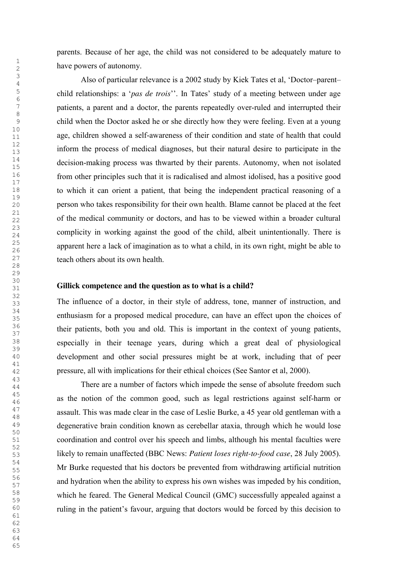parents. Because of her age, the child was not considered to be adequately mature to have powers of autonomy.

Also of particular relevance is a 2002 study by Kiek Tates et al, 'Doctor–parent– child relationships: a '*pas de trois*''. In Tates' study of a meeting between under age patients, a parent and a doctor, the parents repeatedly over-ruled and interrupted their child when the Doctor asked he or she directly how they were feeling. Even at a young age, children showed a self-awareness of their condition and state of health that could inform the process of medical diagnoses, but their natural desire to participate in the decision-making process was thwarted by their parents. Autonomy, when not isolated from other principles such that it is radicalised and almost idolised, has a positive good to which it can orient a patient, that being the independent practical reasoning of a person who takes responsibility for their own health. Blame cannot be placed at the feet of the medical community or doctors, and has to be viewed within a broader cultural complicity in working against the good of the child, albeit unintentionally. There is apparent here a lack of imagination as to what a child, in its own right, might be able to teach others about its own health.

#### **Gillick competence and the question as to what is a child?**

The influence of a doctor, in their style of address, tone, manner of instruction, and enthusiasm for a proposed medical procedure, can have an effect upon the choices of their patients, both you and old. This is important in the context of young patients, especially in their teenage years, during which a great deal of physiological development and other social pressures might be at work, including that of peer pressure, all with implications for their ethical choices (See Santor et al, 2000).

There are a number of factors which impede the sense of absolute freedom such as the notion of the common good, such as legal restrictions against self-harm or assault. This was made clear in the case of Leslie Burke, a 45 year old gentleman with a degenerative brain condition known as cerebellar ataxia, through which he would lose coordination and control over his speech and limbs, although his mental faculties were likely to remain unaffected (BBC News: *Patient loses right-to-food case*, 28 July 2005). Mr Burke requested that his doctors be prevented from withdrawing artificial nutrition and hydration when the ability to express his own wishes was impeded by his condition, which he feared. The General Medical Council (GMC) successfully appealed against a ruling in the patient's favour, arguing that doctors would be forced by this decision to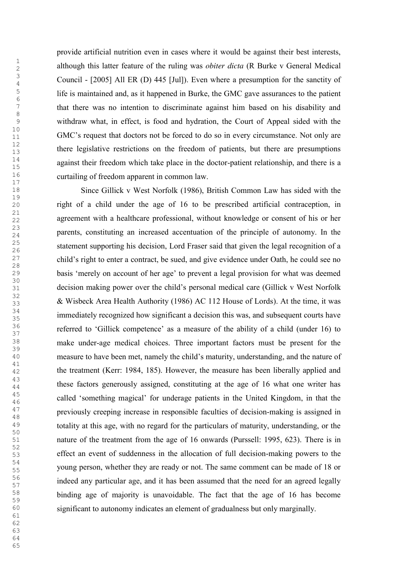provide artificial nutrition even in cases where it would be against their best interests, although this latter feature of the ruling was *obiter dicta* (R Burke v General Medical Council - [2005] All ER (D) 445 [Jul]). Even where a presumption for the sanctity of life is maintained and, as it happened in Burke, the GMC gave assurances to the patient that there was no intention to discriminate against him based on his disability and withdraw what, in effect, is food and hydration, the Court of Appeal sided with the GMC's request that doctors not be forced to do so in every circumstance. Not only are there legislative restrictions on the freedom of patients, but there are presumptions against their freedom which take place in the doctor-patient relationship, and there is a curtailing of freedom apparent in common law.

Since Gillick v West Norfolk (1986), British Common Law has sided with the right of a child under the age of 16 to be prescribed artificial contraception, in agreement with a healthcare professional, without knowledge or consent of his or her parents, constituting an increased accentuation of the principle of autonomy. In the statement supporting his decision, Lord Fraser said that given the legal recognition of a child's right to enter a contract, be sued, and give evidence under Oath, he could see no basis 'merely on account of her age' to prevent a legal provision for what was deemed decision making power over the child's personal medical care (Gillick v West Norfolk & Wisbeck Area Health Authority (1986) AC 112 House of Lords). At the time, it was immediately recognized how significant a decision this was, and subsequent courts have referred to 'Gillick competence' as a measure of the ability of a child (under 16) to make under-age medical choices. Three important factors must be present for the measure to have been met, namely the child's maturity, understanding, and the nature of the treatment (Kerr: 1984, 185). However, the measure has been liberally applied and these factors generously assigned, constituting at the age of 16 what one writer has called 'something magical' for underage patients in the United Kingdom, in that the previously creeping increase in responsible faculties of decision-making is assigned in totality at this age, with no regard for the particulars of maturity, understanding, or the nature of the treatment from the age of 16 onwards (Purssell: 1995, 623). There is in effect an event of suddenness in the allocation of full decision-making powers to the young person, whether they are ready or not. The same comment can be made of 18 or indeed any particular age, and it has been assumed that the need for an agreed legally binding age of majority is unavoidable. The fact that the age of 16 has become significant to autonomy indicates an element of gradualness but only marginally.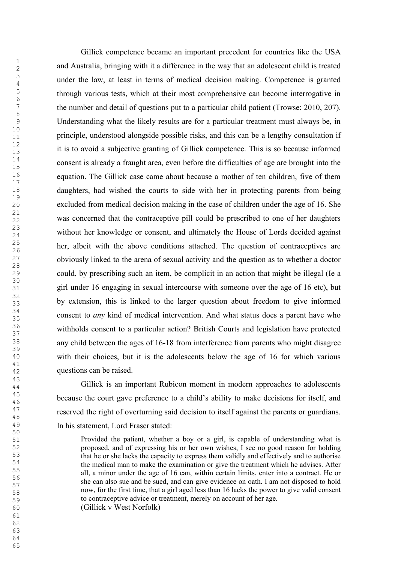Gillick competence became an important precedent for countries like the USA and Australia, bringing with it a difference in the way that an adolescent child is treated under the law, at least in terms of medical decision making. Competence is granted through various tests, which at their most comprehensive can become interrogative in the number and detail of questions put to a particular child patient (Trowse: 2010, 207). Understanding what the likely results are for a particular treatment must always be, in principle, understood alongside possible risks, and this can be a lengthy consultation if it is to avoid a subjective granting of Gillick competence. This is so because informed consent is already a fraught area, even before the difficulties of age are brought into the equation. The Gillick case came about because a mother of ten children, five of them daughters, had wished the courts to side with her in protecting parents from being excluded from medical decision making in the case of children under the age of 16. She was concerned that the contraceptive pill could be prescribed to one of her daughters without her knowledge or consent, and ultimately the House of Lords decided against her, albeit with the above conditions attached. The question of contraceptives are obviously linked to the arena of sexual activity and the question as to whether a doctor could, by prescribing such an item, be complicit in an action that might be illegal (Ie a girl under 16 engaging in sexual intercourse with someone over the age of 16 etc), but by extension, this is linked to the larger question about freedom to give informed consent to *any* kind of medical intervention. And what status does a parent have who withholds consent to a particular action? British Courts and legislation have protected any child between the ages of 16-18 from interference from parents who might disagree with their choices, but it is the adolescents below the age of 16 for which various questions can be raised.

Gillick is an important Rubicon moment in modern approaches to adolescents because the court gave preference to a child's ability to make decisions for itself, and reserved the right of overturning said decision to itself against the parents or guardians. In his statement, Lord Fraser stated:

Provided the patient, whether a boy or a girl, is capable of understanding what is proposed, and of expressing his or her own wishes, I see no good reason for holding that he or she lacks the capacity to express them validly and effectively and to authorise the medical man to make the examination or give the treatment which he advises. After all, a minor under the age of 16 can, within certain limits, enter into a contract. He or she can also sue and be sued, and can give evidence on oath. I am not disposed to hold now, for the first time, that a girl aged less than 16 lacks the power to give valid consent to contraceptive advice or treatment, merely on account of her age. (Gillick v West Norfolk)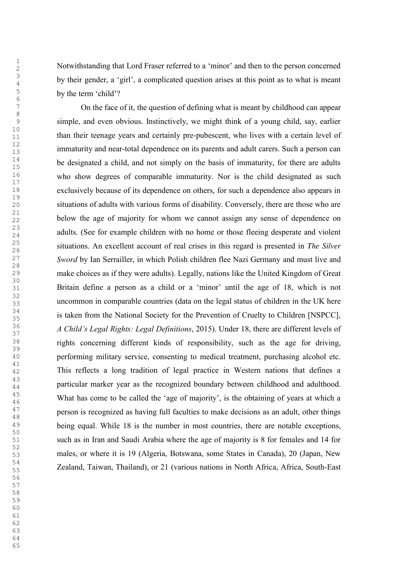Notwithstanding that Lord Fraser referred to a 'minor' and then to the person concerned by their gender, a 'girl', a complicated question arises at this point as to what is meant by the term 'child'?

On the face of it, the question of defining what is meant by childhood can appear simple, and even obvious. Instinctively, we might think of a young child, say, earlier than their teenage years and certainly pre-pubescent, who lives with a certain level of immaturity and near-total dependence on its parents and adult carers. Such a person can be designated a child, and not simply on the basis of immaturity, for there are adults who show degrees of comparable immaturity. Nor is the child designated as such exclusively because of its dependence on others, for such a dependence also appears in situations of adults with various forms of disability. Conversely, there are those who are below the age of majority for whom we cannot assign any sense of dependence on adults. (See for example children with no home or those fleeing desperate and violent situations. An excellent account of real crises in this regard is presented in *The Silver Sword* by Ian Serrailler, in which Polish children flee Nazi Germany and must live and make choices as if they were adults). Legally, nations like the United Kingdom of Great Britain define a person as a child or a 'minor' until the age of 18, which is not uncommon in comparable countries (data on the legal status of children in the UK here is taken from the National Society for the Prevention of Cruelty to Children [NSPCC], *A Child's Legal Rights: Legal Definitions*, 2015). Under 18, there are different levels of rights concerning different kinds of responsibility, such as the age for driving, performing military service, consenting to medical treatment, purchasing alcohol etc. This reflects a long tradition of legal practice in Western nations that defines a particular marker year as the recognized boundary between childhood and adulthood. What has come to be called the 'age of majority', is the obtaining of years at which a person is recognized as having full faculties to make decisions as an adult, other things being equal. While 18 is the number in most countries, there are notable exceptions, such as in Iran and Saudi Arabia where the age of majority is 8 for females and 14 for males, or where it is 19 (Algeria, Botswana, some States in Canada), 20 (Japan, New Zealand, Taiwan, Thailand), or 21 (various nations in North Africa, Africa, South-East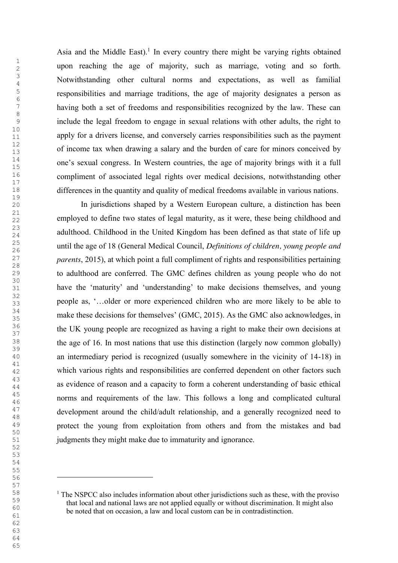Asia and the Middle East).<sup>1</sup> In every country there might be varying rights obtained upon reaching the age of majority, such as marriage, voting and so forth. Notwithstanding other cultural norms and expectations, as well as familial responsibilities and marriage traditions, the age of majority designates a person as having both a set of freedoms and responsibilities recognized by the law. These can include the legal freedom to engage in sexual relations with other adults, the right to apply for a drivers license, and conversely carries responsibilities such as the payment of income tax when drawing a salary and the burden of care for minors conceived by one's sexual congress. In Western countries, the age of majority brings with it a full compliment of associated legal rights over medical decisions, notwithstanding other differences in the quantity and quality of medical freedoms available in various nations.

In jurisdictions shaped by a Western European culture, a distinction has been employed to define two states of legal maturity, as it were, these being childhood and adulthood. Childhood in the United Kingdom has been defined as that state of life up until the age of 18 (General Medical Council, *Definitions of children, young people and parents*, 2015), at which point a full compliment of rights and responsibilities pertaining to adulthood are conferred. The GMC defines children as young people who do not have the 'maturity' and 'understanding' to make decisions themselves, and young people as, '…older or more experienced children who are more likely to be able to make these decisions for themselves' (GMC, 2015). As the GMC also acknowledges, in the UK young people are recognized as having a right to make their own decisions at the age of 16. In most nations that use this distinction (largely now common globally) an intermediary period is recognized (usually somewhere in the vicinity of 14-18) in which various rights and responsibilities are conferred dependent on other factors such as evidence of reason and a capacity to form a coherent understanding of basic ethical norms and requirements of the law. This follows a long and complicated cultural development around the child/adult relationship, and a generally recognized need to protect the young from exploitation from others and from the mistakes and bad judgments they might make due to immaturity and ignorance.

<sup>1</sup> The NSPCC also includes information about other jurisdictions such as these, with the proviso that local and national laws are not applied equally or without discrimination. It might also be noted that on occasion, a law and local custom can be in contradistinction.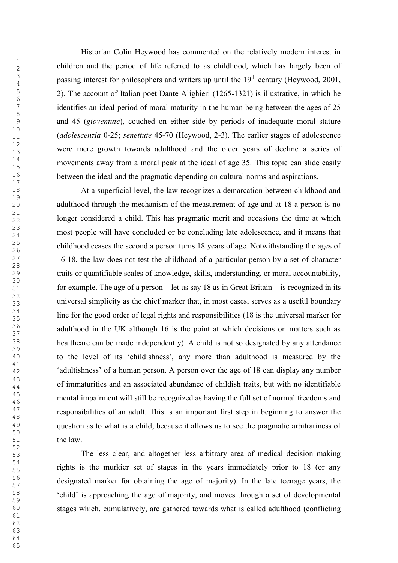Historian Colin Heywood has commented on the relatively modern interest in children and the period of life referred to as childhood, which has largely been of passing interest for philosophers and writers up until the 19<sup>th</sup> century (Heywood, 2001, 2). The account of Italian poet Dante Alighieri (1265-1321) is illustrative, in which he identifies an ideal period of moral maturity in the human being between the ages of 25 and 45 (*gioventute*), couched on either side by periods of inadequate moral stature (*adolescenzia* 0-25; *senettute* 45-70 (Heywood, 2-3). The earlier stages of adolescence were mere growth towards adulthood and the older years of decline a series of movements away from a moral peak at the ideal of age 35. This topic can slide easily between the ideal and the pragmatic depending on cultural norms and aspirations.

At a superficial level, the law recognizes a demarcation between childhood and adulthood through the mechanism of the measurement of age and at 18 a person is no longer considered a child. This has pragmatic merit and occasions the time at which most people will have concluded or be concluding late adolescence, and it means that childhood ceases the second a person turns 18 years of age. Notwithstanding the ages of 16-18, the law does not test the childhood of a particular person by a set of character traits or quantifiable scales of knowledge, skills, understanding, or moral accountability, for example. The age of a person – let us say 18 as in Great Britain – is recognized in its universal simplicity as the chief marker that, in most cases, serves as a useful boundary line for the good order of legal rights and responsibilities (18 is the universal marker for adulthood in the UK although 16 is the point at which decisions on matters such as healthcare can be made independently). A child is not so designated by any attendance to the level of its 'childishness', any more than adulthood is measured by the 'adultishness' of a human person. A person over the age of 18 can display any number of immaturities and an associated abundance of childish traits, but with no identifiable mental impairment will still be recognized as having the full set of normal freedoms and responsibilities of an adult. This is an important first step in beginning to answer the question as to what is a child, because it allows us to see the pragmatic arbitrariness of the law.

The less clear, and altogether less arbitrary area of medical decision making rights is the murkier set of stages in the years immediately prior to 18 (or any designated marker for obtaining the age of majority). In the late teenage years, the 'child' is approaching the age of majority, and moves through a set of developmental stages which, cumulatively, are gathered towards what is called adulthood (conflicting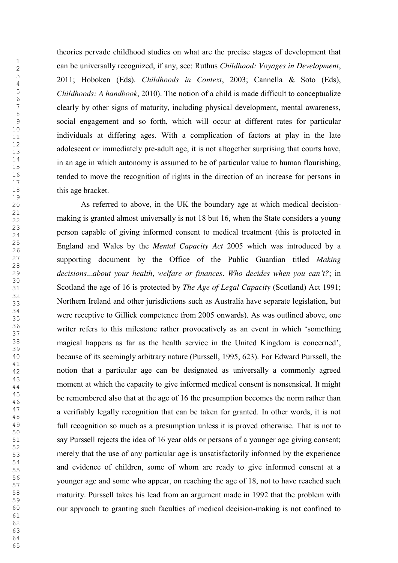theories pervade childhood studies on what are the precise stages of development that can be universally recognized, if any, see: Ruthus *Childhood: Voyages in Development*, 2011; Hoboken (Eds). *Childhoods in Context*, 2003; Cannella & Soto (Eds), *Childhoods: A handbook*, 2010). The notion of a child is made difficult to conceptualize clearly by other signs of maturity, including physical development, mental awareness, social engagement and so forth, which will occur at different rates for particular individuals at differing ages. With a complication of factors at play in the late adolescent or immediately pre-adult age, it is not altogether surprising that courts have, in an age in which autonomy is assumed to be of particular value to human flourishing, tended to move the recognition of rights in the direction of an increase for persons in this age bracket.

As referred to above, in the UK the boundary age at which medical decisionmaking is granted almost universally is not 18 but 16, when the State considers a young person capable of giving informed consent to medical treatment (this is protected in England and Wales by the *Mental Capacity Act* 2005 which was introduced by a supporting document by the Office of the Public Guardian titled *Making decisions...about your health, welfare or finances. Who decides when you can't?*; in Scotland the age of 16 is protected by *The Age of Legal Capacity* (Scotland) Act 1991; Northern Ireland and other jurisdictions such as Australia have separate legislation, but were receptive to Gillick competence from 2005 onwards). As was outlined above, one writer refers to this milestone rather provocatively as an event in which 'something magical happens as far as the health service in the United Kingdom is concerned', because of its seemingly arbitrary nature (Purssell, 1995, 623). For Edward Purssell, the notion that a particular age can be designated as universally a commonly agreed moment at which the capacity to give informed medical consent is nonsensical. It might be remembered also that at the age of 16 the presumption becomes the norm rather than a verifiably legally recognition that can be taken for granted. In other words, it is not full recognition so much as a presumption unless it is proved otherwise. That is not to say Purssell rejects the idea of 16 year olds or persons of a younger age giving consent; merely that the use of any particular age is unsatisfactorily informed by the experience and evidence of children, some of whom are ready to give informed consent at a younger age and some who appear, on reaching the age of 18, not to have reached such maturity. Purssell takes his lead from an argument made in 1992 that the problem with our approach to granting such faculties of medical decision-making is not confined to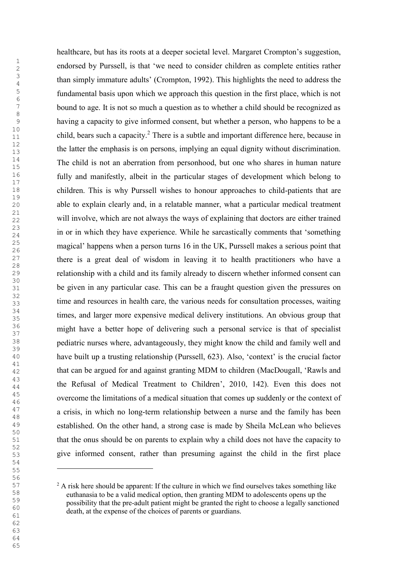healthcare, but has its roots at a deeper societal level. Margaret Crompton's suggestion, endorsed by Purssell, is that 'we need to consider children as complete entities rather than simply immature adults' (Crompton, 1992). This highlights the need to address the fundamental basis upon which we approach this question in the first place, which is not bound to age. It is not so much a question as to whether a child should be recognized as having a capacity to give informed consent, but whether a person, who happens to be a child, bears such a capacity.<sup>2</sup> There is a subtle and important difference here, because in the latter the emphasis is on persons, implying an equal dignity without discrimination. The child is not an aberration from personhood, but one who shares in human nature fully and manifestly, albeit in the particular stages of development which belong to children. This is why Purssell wishes to honour approaches to child-patients that are able to explain clearly and, in a relatable manner, what a particular medical treatment will involve, which are not always the ways of explaining that doctors are either trained in or in which they have experience. While he sarcastically comments that 'something magical' happens when a person turns 16 in the UK, Purssell makes a serious point that there is a great deal of wisdom in leaving it to health practitioners who have a relationship with a child and its family already to discern whether informed consent can be given in any particular case. This can be a fraught question given the pressures on time and resources in health care, the various needs for consultation processes, waiting times, and larger more expensive medical delivery institutions. An obvious group that might have a better hope of delivering such a personal service is that of specialist pediatric nurses where, advantageously, they might know the child and family well and have built up a trusting relationship (Purssell, 623). Also, 'context' is the crucial factor that can be argued for and against granting MDM to children (MacDougall, 'Rawls and the Refusal of Medical Treatment to Children', 2010, 142). Even this does not overcome the limitations of a medical situation that comes up suddenly or the context of a crisis, in which no long-term relationship between a nurse and the family has been established. On the other hand, a strong case is made by Sheila McLean who believes that the onus should be on parents to explain why a child does not have the capacity to give informed consent, rather than presuming against the child in the first place

 $2 \text{ A}$  risk here should be apparent: If the culture in which we find ourselves takes something like euthanasia to be a valid medical option, then granting MDM to adolescents opens up the possibility that the pre-adult patient might be granted the right to choose a legally sanctioned death, at the expense of the choices of parents or guardians.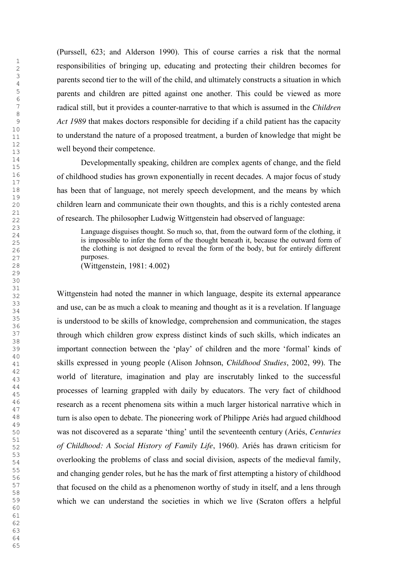(Purssell, 623; and Alderson 1990). This of course carries a risk that the normal responsibilities of bringing up, educating and protecting their children becomes for parents second tier to the will of the child, and ultimately constructs a situation in which parents and children are pitted against one another. This could be viewed as more radical still, but it provides a counter-narrative to that which is assumed in the *Children Act 1989* that makes doctors responsible for deciding if a child patient has the capacity to understand the nature of a proposed treatment, a burden of knowledge that might be well beyond their competence.

Developmentally speaking, children are complex agents of change, and the field of childhood studies has grown exponentially in recent decades. A major focus of study has been that of language, not merely speech development, and the means by which children learn and communicate their own thoughts, and this is a richly contested arena of research. The philosopher Ludwig Wittgenstein had observed of language:

Language disguises thought. So much so, that, from the outward form of the clothing, it is impossible to infer the form of the thought beneath it, because the outward form of the clothing is not designed to reveal the form of the body, but for entirely different purposes. (Wittgenstein, 1981: 4.002)

Wittgenstein had noted the manner in which language, despite its external appearance and use, can be as much a cloak to meaning and thought as it is a revelation. If language is understood to be skills of knowledge, comprehension and communication, the stages through which children grow express distinct kinds of such skills, which indicates an important connection between the 'play' of children and the more 'formal' kinds of skills expressed in young people (Alison Johnson, *Childhood Studies*, 2002, 99). The world of literature, imagination and play are inscrutably linked to the successful processes of learning grappled with daily by educators. The very fact of childhood research as a recent phenomena sits within a much larger historical narrative which in turn is also open to debate. The pioneering work of Philippe Ariés had argued childhood was not discovered as a separate 'thing' until the seventeenth century (Ariés, *Centuries of Childhood: A Social History of Family Life*, 1960). Ariés has drawn criticism for overlooking the problems of class and social division, aspects of the medieval family, and changing gender roles, but he has the mark of first attempting a history of childhood that focused on the child as a phenomenon worthy of study in itself, and a lens through which we can understand the societies in which we live (Scraton offers a helpful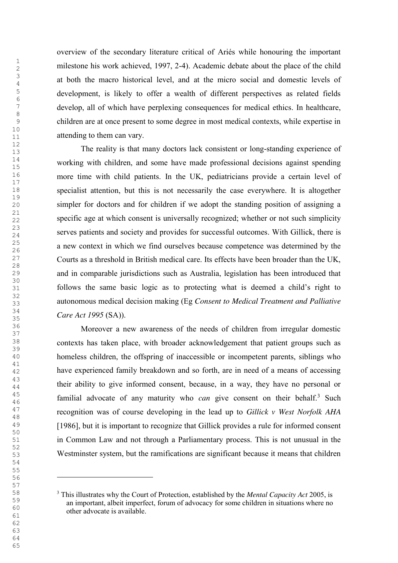overview of the secondary literature critical of Ariés while honouring the important milestone his work achieved, 1997, 2-4). Academic debate about the place of the child at both the macro historical level, and at the micro social and domestic levels of development, is likely to offer a wealth of different perspectives as related fields develop, all of which have perplexing consequences for medical ethics. In healthcare, children are at once present to some degree in most medical contexts, while expertise in attending to them can vary.

The reality is that many doctors lack consistent or long-standing experience of working with children, and some have made professional decisions against spending more time with child patients. In the UK, pediatricians provide a certain level of specialist attention, but this is not necessarily the case everywhere. It is altogether simpler for doctors and for children if we adopt the standing position of assigning a specific age at which consent is universally recognized; whether or not such simplicity serves patients and society and provides for successful outcomes. With Gillick, there is a new context in which we find ourselves because competence was determined by the Courts as a threshold in British medical care. Its effects have been broader than the UK, and in comparable jurisdictions such as Australia, legislation has been introduced that follows the same basic logic as to protecting what is deemed a child's right to autonomous medical decision making (Eg *Consent to Medical Treatment and Palliative Care Act 1995* (SA)).

Moreover a new awareness of the needs of children from irregular domestic contexts has taken place, with broader acknowledgement that patient groups such as homeless children, the offspring of inaccessible or incompetent parents, siblings who have experienced family breakdown and so forth, are in need of a means of accessing their ability to give informed consent, because, in a way, they have no personal or familial advocate of any maturity who *can* give consent on their behalf.<sup>3</sup> Such recognition was of course developing in the lead up to *Gillick v West Norfolk AHA* [1986], but it is important to recognize that Gillick provides a rule for informed consent in Common Law and not through a Parliamentary process. This is not unusual in the Westminster system, but the ramifications are significant because it means that children

 This illustrates why the Court of Protection, established by the *Mental Capacity Act* 2005, is an important, albeit imperfect, forum of advocacy for some children in situations where no other advocate is available.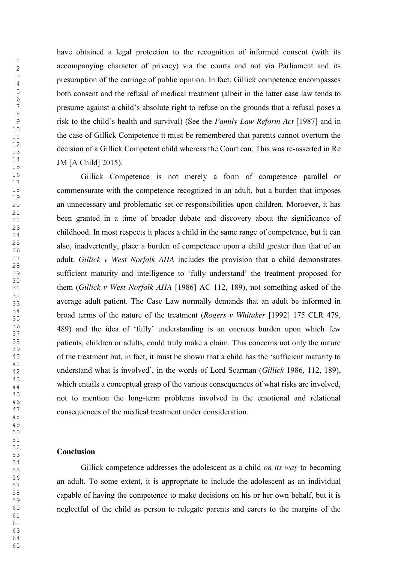have obtained a legal protection to the recognition of informed consent (with its accompanying character of privacy) via the courts and not via Parliament and its presumption of the carriage of public opinion. In fact, Gillick competence encompasses both consent and the refusal of medical treatment (albeit in the latter case law tends to presume against a child's absolute right to refuse on the grounds that a refusal poses a risk to the child's health and survival) (See the *Family Law Reform Act* [1987] and in the case of Gillick Competence it must be remembered that parents cannot overturn the decision of a Gillick Competent child whereas the Court can. This was re-asserted in Re JM [A Child] 2015).

Gillick Competence is not merely a form of competence parallel or commensurate with the competence recognized in an adult, but a burden that imposes an unnecessary and problematic set or responsibilities upon children. Moroever, it has been granted in a time of broader debate and discovery about the significance of childhood. In most respects it places a child in the same range of competence, but it can also, inadvertently, place a burden of competence upon a child greater than that of an adult. *Gillick v West Norfolk AHA* includes the provision that a child demonstrates sufficient maturity and intelligence to 'fully understand' the treatment proposed for them (*Gillick v West Norfolk AHA* [1986] AC 112, 189), not something asked of the average adult patient. The Case Law normally demands that an adult be informed in broad terms of the nature of the treatment (*Rogers v Whitaker* [1992] 175 CLR 479, 489) and the idea of 'fully' understanding is an onerous burden upon which few patients, children or adults, could truly make a claim. This concerns not only the nature of the treatment but, in fact, it must be shown that a child has the 'sufficient maturity to understand what is involved', in the words of Lord Scarman (*Gillick* 1986, 112, 189), which entails a conceptual grasp of the various consequences of what risks are involved, not to mention the long-term problems involved in the emotional and relational consequences of the medical treatment under consideration.

#### **Conclusion**

Gillick competence addresses the adolescent as a child *on its way* to becoming an adult. To some extent, it is appropriate to include the adolescent as an individual capable of having the competence to make decisions on his or her own behalf, but it is neglectful of the child as person to relegate parents and carers to the margins of the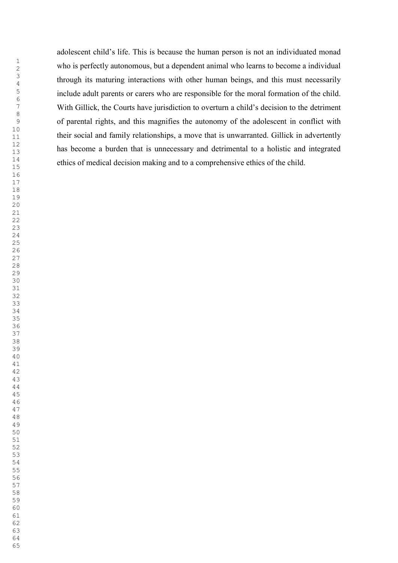adolescent child's life. This is because the human person is not an individuated monad who is perfectly autonomous, but a dependent animal who learns to become a individual through its maturing interactions with other human beings, and this must necessarily include adult parents or carers who are responsible for the moral formation of the child. With Gillick, the Courts have jurisdiction to overturn a child's decision to the detriment of parental rights, and this magnifies the autonomy of the adolescent in conflict with their social and family relationships, a move that is unwarranted. Gillick in advertently has become a burden that is unnecessary and detrimental to a holistic and integrated ethics of medical decision making and to a comprehensive ethics of the child.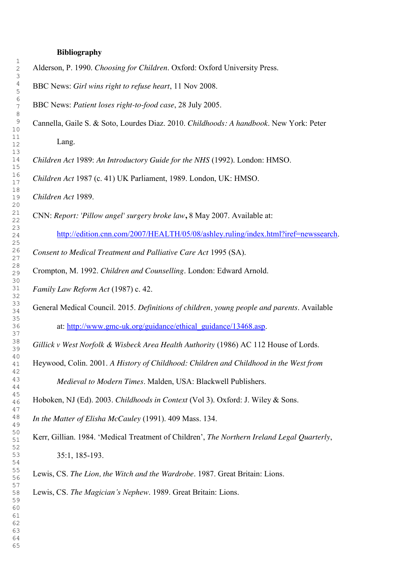### **Bibliography**

Alderson, P. 1990. *Choosing for Children*. Oxford: Oxford University Press.

BBC News: *Girl wins right to refuse heart*, 11 Nov 2008.

BBC News: *Patient loses right-to-food case*, 28 July 2005.

Cannella, Gaile S. & Soto, Lourdes Diaz. 2010. *Childhoods: A handbook*. New York: Peter

Lang.

*Children Act* 1989: *An Introductory Guide for the NHS* (1992). London: HMSO.

*Children Act* 1987 (c. 41) UK Parliament, 1989. London, UK: HMSO.

*Children Act* 1989.

CNN: *Report: 'Pillow angel' surgery broke law***,** 8 May 2007. Available at:

[http://edition.cnn.com/2007/HEALTH/05/08/ashley.ruling/index.html?iref=newssearch.](http://edition.cnn.com/2007/HEALTH/05/08/ashley.ruling/index.html?iref=newssearch)

*Consent to Medical Treatment and Palliative Care Act* 1995 (SA).

Crompton, M. 1992. *Children and Counselling*. London: Edward Arnold.

*Family Law Reform Act* (1987) c. 42.

General Medical Council. 2015. *Definitions of children, young people and parents*. Available at: [http://www.gmc-uk.org/guidance/ethical\\_guidance/13468.asp.](http://www.gmc-uk.org/guidance/ethical_guidance/13468.asp)

*Gillick v West Norfolk & Wisbeck Area Health Authority* (1986) AC 112 House of Lords.

Heywood, Colin. 2001. *A History of Childhood: Children and Childhood in the West from Medieval to Modern Times*. Malden, USA: Blackwell Publishers.

Hoboken, NJ (Ed). 2003. *Childhoods in Context* (Vol 3). Oxford: J. Wiley & Sons.

*In the Matter of Elisha McCauley* (1991). 409 Mass. 134.

Kerr, Gillian. 1984. 'Medical Treatment of Children', *The Northern Ireland Legal Quarterly*, 35:1, 185-193.

Lewis, CS. *The Lion, the Witch and the Wardrobe*. 1987. Great Britain: Lions.

Lewis, CS. *The Magician's Nephew*. 1989. Great Britain: Lions.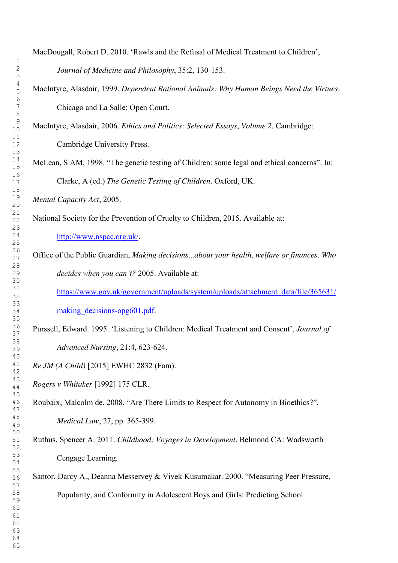MacDougall, Robert D. 2010. 'Rawls and the Refusal of Medical Treatment to Children', *Journal of Medicine and Philosophy*, 35:2, 130-153.

MacIntyre, Alasdair, 1999. *Dependent Rational Animals: Why Human Beings Need the Virtues*. Chicago and La Salle: Open Court.

MacIntyre, Alasdair, 2006. *Ethics and Politics: Selected Essays, Volume 2*. Cambridge: Cambridge University Press.

McLean, S AM, 1998. "The genetic testing of Children: some legal and ethical concerns". In: Clarke, A (ed.) *The Genetic Testing of Children*. Oxford, UK.

*Mental Capacity Act*, 2005.

National Society for the Prevention of Cruelty to Children, 2015. Available at:

[http://www.nspcc.org.uk/.](http://www.nspcc.org.uk/)

Office of the Public Guardian, *Making decisions...about your health, welfare or finances. Who decides when you can't?* 2005. Available at:

[https://www.gov.uk/government/uploads/system/uploads/attachment\\_data/file/365631/](https://www.gov.uk/government/uploads/system/uploads/attachment_data/file/365631/making_decisions-opg601.pdf) making decisions-opg601.pdf.

Purssell, Edward. 1995. 'Listening to Children: Medical Treatment and Consent', *Journal of Advanced Nursing*, 21:4, 623-624.

*Re JM (A Child)* [2015] EWHC 2832 (Fam).

*Rogers v Whitaker* [1992] 175 CLR.

Roubaix, Malcolm de. 2008. "Are There Limits to Respect for Autonomy in Bioethics?", *Medical Law*, 27, pp. 365-399.

Ruthus, Spencer A. 2011. *Childhood: Voyages in Development*. Belmond CA: Wadsworth Cengage Learning.

Santor, Darcy A., Deanna Messervey & Vivek Kusumakar. 2000. "Measuring Peer Pressure, Popularity, and Conformity in Adolescent Boys and Girls: Predicting School